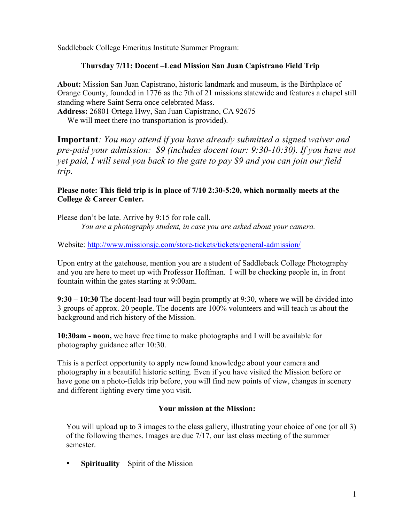Saddleback College Emeritus Institute Summer Program:

## **Thursday 7/11: Docent –Lead Mission San Juan Capistrano Field Trip**

**About:** Mission San Juan Capistrano, historic landmark and museum, is the Birthplace of Orange County, founded in 1776 as the 7th of 21 missions statewide and features a chapel still standing where Saint Serra once celebrated Mass.

**Address:** 26801 Ortega Hwy, San Juan Capistrano, CA 92675 We will meet there (no transportation is provided).

**Important***: You may attend if you have already submitted a signed waiver and pre-paid your admission: \$9 (includes docent tour: 9:30-10:30). If you have not yet paid, I will send you back to the gate to pay \$9 and you can join our field trip.* 

## **Please note: This field trip is in place of 7/10 2:30-5:20, which normally meets at the College & Career Center.**

Please don't be late. Arrive by 9:15 for role call. *You are a photography student, in case you are asked about your camera.*

Website: http://www.missionsjc.com/store-tickets/tickets/general-admission/

Upon entry at the gatehouse, mention you are a student of Saddleback College Photography and you are here to meet up with Professor Hoffman. I will be checking people in, in front fountain within the gates starting at 9:00am.

**9:30 – 10:30** The docent-lead tour will begin promptly at 9:30, where we will be divided into 3 groups of approx. 20 people. The docents are 100% volunteers and will teach us about the background and rich history of the Mission.

**10:30am - noon,** we have free time to make photographs and I will be available for photography guidance after 10:30.

This is a perfect opportunity to apply newfound knowledge about your camera and photography in a beautiful historic setting. Even if you have visited the Mission before or have gone on a photo-fields trip before, you will find new points of view, changes in scenery and different lighting every time you visit.

## **Your mission at the Mission:**

You will upload up to 3 images to the class gallery, illustrating your choice of one (or all 3) of the following themes. Images are due 7/17, our last class meeting of the summer semester.

• **Spirituality** – Spirit of the Mission